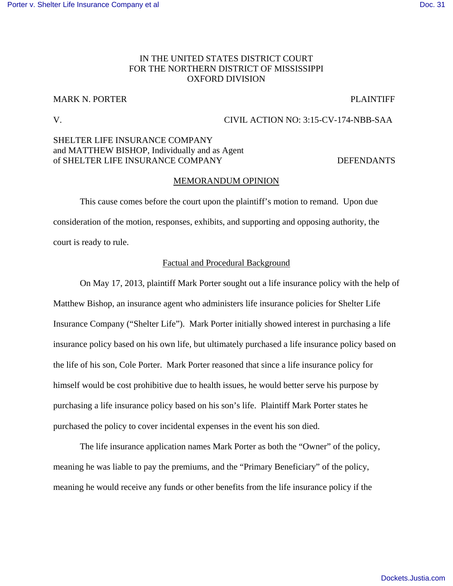# IN THE UNITED STATES DISTRICT COURT FOR THE NORTHERN DISTRICT OF MISSISSIPPI OXFORD DIVISION

# MARK N. PORTER PLAINTIFF

## V. CIVIL ACTION NO: 3:15-CV-174-NBB-SAA

# SHELTER LIFE INSURANCE COMPANY and MATTHEW BISHOP, Individually and as Agent of SHELTER LIFE INSURANCE COMPANY DEFENDANTS

### MEMORANDUM OPINION

 This cause comes before the court upon the plaintiff's motion to remand. Upon due consideration of the motion, responses, exhibits, and supporting and opposing authority, the court is ready to rule.

## Factual and Procedural Background

 On May 17, 2013, plaintiff Mark Porter sought out a life insurance policy with the help of Matthew Bishop, an insurance agent who administers life insurance policies for Shelter Life Insurance Company ("Shelter Life"). Mark Porter initially showed interest in purchasing a life insurance policy based on his own life, but ultimately purchased a life insurance policy based on the life of his son, Cole Porter. Mark Porter reasoned that since a life insurance policy for himself would be cost prohibitive due to health issues, he would better serve his purpose by purchasing a life insurance policy based on his son's life. Plaintiff Mark Porter states he purchased the policy to cover incidental expenses in the event his son died.

The life insurance application names Mark Porter as both the "Owner" of the policy, meaning he was liable to pay the premiums, and the "Primary Beneficiary" of the policy, meaning he would receive any funds or other benefits from the life insurance policy if the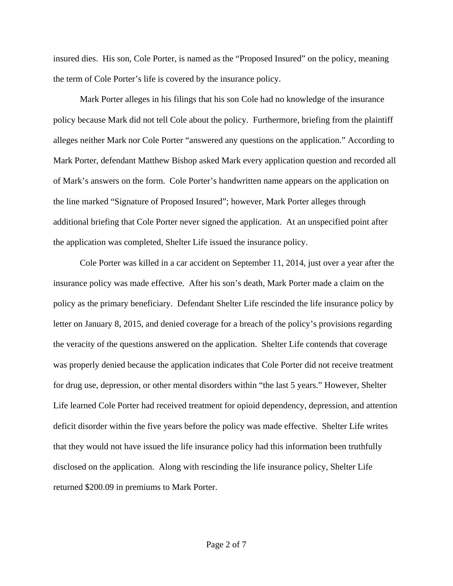insured dies. His son, Cole Porter, is named as the "Proposed Insured" on the policy, meaning the term of Cole Porter's life is covered by the insurance policy.

Mark Porter alleges in his filings that his son Cole had no knowledge of the insurance policy because Mark did not tell Cole about the policy. Furthermore, briefing from the plaintiff alleges neither Mark nor Cole Porter "answered any questions on the application." According to Mark Porter, defendant Matthew Bishop asked Mark every application question and recorded all of Mark's answers on the form. Cole Porter's handwritten name appears on the application on the line marked "Signature of Proposed Insured"; however, Mark Porter alleges through additional briefing that Cole Porter never signed the application. At an unspecified point after the application was completed, Shelter Life issued the insurance policy.

 Cole Porter was killed in a car accident on September 11, 2014, just over a year after the insurance policy was made effective. After his son's death, Mark Porter made a claim on the policy as the primary beneficiary. Defendant Shelter Life rescinded the life insurance policy by letter on January 8, 2015, and denied coverage for a breach of the policy's provisions regarding the veracity of the questions answered on the application. Shelter Life contends that coverage was properly denied because the application indicates that Cole Porter did not receive treatment for drug use, depression, or other mental disorders within "the last 5 years." However, Shelter Life learned Cole Porter had received treatment for opioid dependency, depression, and attention deficit disorder within the five years before the policy was made effective. Shelter Life writes that they would not have issued the life insurance policy had this information been truthfully disclosed on the application. Along with rescinding the life insurance policy, Shelter Life returned \$200.09 in premiums to Mark Porter.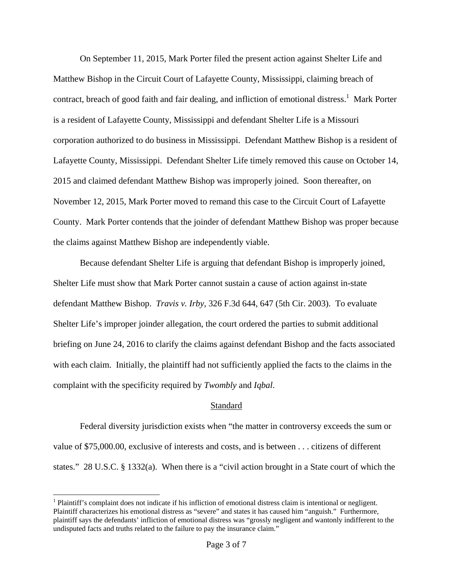On September 11, 2015, Mark Porter filed the present action against Shelter Life and Matthew Bishop in the Circuit Court of Lafayette County, Mississippi, claiming breach of contract, breach of good faith and fair dealing, and infliction of emotional distress.<sup>1</sup> Mark Porter is a resident of Lafayette County, Mississippi and defendant Shelter Life is a Missouri corporation authorized to do business in Mississippi. Defendant Matthew Bishop is a resident of Lafayette County, Mississippi. Defendant Shelter Life timely removed this cause on October 14, 2015 and claimed defendant Matthew Bishop was improperly joined. Soon thereafter, on November 12, 2015, Mark Porter moved to remand this case to the Circuit Court of Lafayette County. Mark Porter contends that the joinder of defendant Matthew Bishop was proper because the claims against Matthew Bishop are independently viable.

Because defendant Shelter Life is arguing that defendant Bishop is improperly joined, Shelter Life must show that Mark Porter cannot sustain a cause of action against in-state defendant Matthew Bishop. *Travis v. Irby*, 326 F.3d 644, 647 (5th Cir. 2003). To evaluate Shelter Life's improper joinder allegation, the court ordered the parties to submit additional briefing on June 24, 2016 to clarify the claims against defendant Bishop and the facts associated with each claim. Initially, the plaintiff had not sufficiently applied the facts to the claims in the complaint with the specificity required by *Twombly* and *Iqbal*.

# Standard

 Federal diversity jurisdiction exists when "the matter in controversy exceeds the sum or value of \$75,000.00, exclusive of interests and costs, and is between . . . citizens of different states." 28 U.S.C. § 1332(a). When there is a "civil action brought in a State court of which the

<sup>&</sup>lt;sup>1</sup> Plaintiff's complaint does not indicate if his infliction of emotional distress claim is intentional or negligent. Plaintiff characterizes his emotional distress as "severe" and states it has caused him "anguish." Furthermore, plaintiff says the defendants' infliction of emotional distress was "grossly negligent and wantonly indifferent to the undisputed facts and truths related to the failure to pay the insurance claim."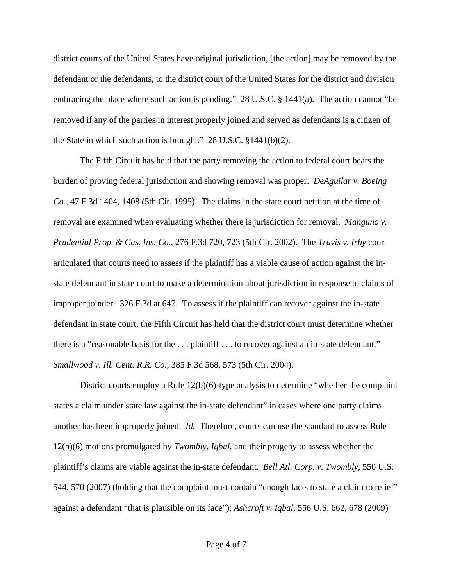district courts of the United States have original jurisdiction, [the action] may be removed by the defendant or the defendants, to the district court of the United States for the district and division embracing the place where such action is pending." 28 U.S.C. § 1441(a). The action cannot "be removed if any of the parties in interest properly joined and served as defendants is a citizen of the State in which such action is brought." 28 U.S.C. §1441(b)(2).

The Fifth Circuit has held that the party removing the action to federal court bears the burden of proving federal jurisdiction and showing removal was proper. *DeAguilar v. Boeing Co.*, 47 F.3d 1404, 1408 (5th Cir. 1995). The claims in the state court petition at the time of removal are examined when evaluating whether there is jurisdiction for removal. *Manguno v. Prudential Prop. & Cas. Ins. Co.*, 276 F.3d 720, 723 (5th Cir. 2002). The *Travis v. Irby* court articulated that courts need to assess if the plaintiff has a viable cause of action against the instate defendant in state court to make a determination about jurisdiction in response to claims of improper joinder. 326 F.3d at 647. To assess if the plaintiff can recover against the in-state defendant in state court, the Fifth Circuit has held that the district court must determine whether there is a "reasonable basis for the . . . plaintiff . . . to recover against an in-state defendant." *Smallwood v. Ill. Cent. R.R. Co.*, 385 F.3d 568, 573 (5th Cir. 2004).

District courts employ a Rule 12(b)(6)-type analysis to determine "whether the complaint states a claim under state law against the in-state defendant" in cases where one party claims another has been improperly joined. *Id.* Therefore, courts can use the standard to assess Rule 12(b)(6) motions promulgated by *Twombly*, *Iqbal*, and their progeny to assess whether the plaintiff's claims are viable against the in-state defendant. *Bell Atl. Corp. v. Twombly*, 550 U.S. 544, 570 (2007) (holding that the complaint must contain "enough facts to state a claim to relief" against a defendant "that is plausible on its face"); *Ashcroft v. Iqbal,* 556 U.S. 662, 678 (2009)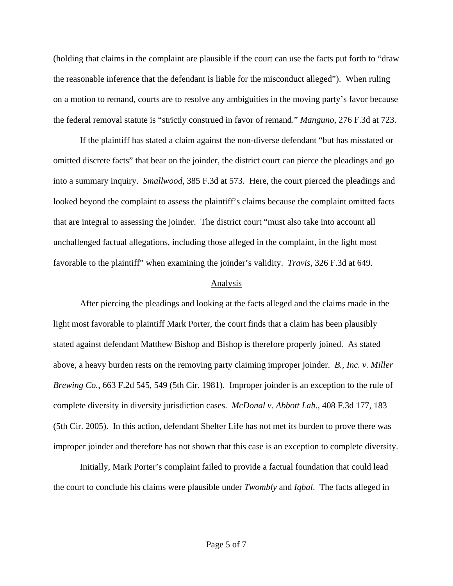(holding that claims in the complaint are plausible if the court can use the facts put forth to "draw the reasonable inference that the defendant is liable for the misconduct alleged"). When ruling on a motion to remand, courts are to resolve any ambiguities in the moving party's favor because the federal removal statute is "strictly construed in favor of remand." *Manguno*, 276 F.3d at 723.

If the plaintiff has stated a claim against the non-diverse defendant "but has misstated or omitted discrete facts" that bear on the joinder, the district court can pierce the pleadings and go into a summary inquiry. *Smallwood*, 385 F.3d at 573*.* Here, the court pierced the pleadings and looked beyond the complaint to assess the plaintiff's claims because the complaint omitted facts that are integral to assessing the joinder. The district court "must also take into account all unchallenged factual allegations, including those alleged in the complaint, in the light most favorable to the plaintiff" when examining the joinder's validity. *Travis*, 326 F.3d at 649.

## Analysis

 After piercing the pleadings and looking at the facts alleged and the claims made in the light most favorable to plaintiff Mark Porter, the court finds that a claim has been plausibly stated against defendant Matthew Bishop and Bishop is therefore properly joined. As stated above, a heavy burden rests on the removing party claiming improper joinder. *B., Inc. v. Miller Brewing Co.*, 663 F.2d 545, 549 (5th Cir. 1981). Improper joinder is an exception to the rule of complete diversity in diversity jurisdiction cases. *McDonal v. Abbott Lab.*, 408 F.3d 177, 183 (5th Cir. 2005). In this action, defendant Shelter Life has not met its burden to prove there was improper joinder and therefore has not shown that this case is an exception to complete diversity.

Initially, Mark Porter's complaint failed to provide a factual foundation that could lead the court to conclude his claims were plausible under *Twombly* and *Iqbal*. The facts alleged in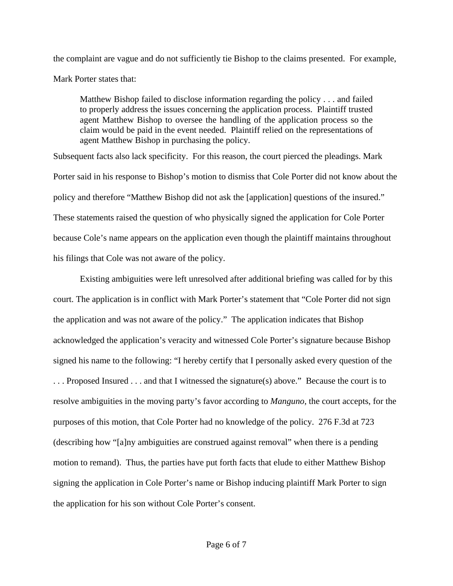the complaint are vague and do not sufficiently tie Bishop to the claims presented. For example, Mark Porter states that:

Matthew Bishop failed to disclose information regarding the policy . . . and failed to properly address the issues concerning the application process. Plaintiff trusted agent Matthew Bishop to oversee the handling of the application process so the claim would be paid in the event needed. Plaintiff relied on the representations of agent Matthew Bishop in purchasing the policy.

Subsequent facts also lack specificity. For this reason, the court pierced the pleadings. Mark Porter said in his response to Bishop's motion to dismiss that Cole Porter did not know about the policy and therefore "Matthew Bishop did not ask the [application] questions of the insured." These statements raised the question of who physically signed the application for Cole Porter because Cole's name appears on the application even though the plaintiff maintains throughout his filings that Cole was not aware of the policy.

Existing ambiguities were left unresolved after additional briefing was called for by this court. The application is in conflict with Mark Porter's statement that "Cole Porter did not sign the application and was not aware of the policy." The application indicates that Bishop acknowledged the application's veracity and witnessed Cole Porter's signature because Bishop signed his name to the following: "I hereby certify that I personally asked every question of the . . . Proposed Insured . . . and that I witnessed the signature(s) above." Because the court is to resolve ambiguities in the moving party's favor according to *Manguno*, the court accepts, for the purposes of this motion, that Cole Porter had no knowledge of the policy. 276 F.3d at 723 (describing how "[a]ny ambiguities are construed against removal" when there is a pending motion to remand). Thus, the parties have put forth facts that elude to either Matthew Bishop signing the application in Cole Porter's name or Bishop inducing plaintiff Mark Porter to sign the application for his son without Cole Porter's consent.